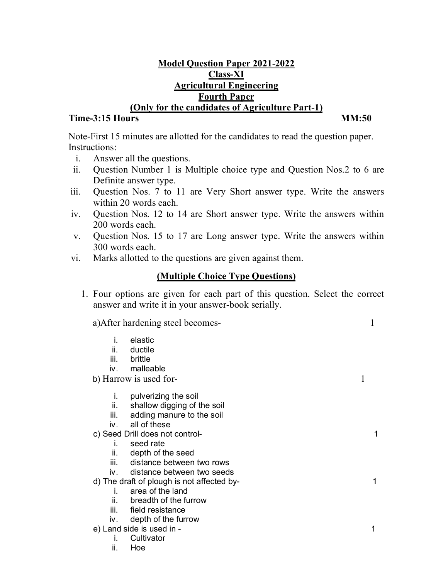## **Model Question Paper 2021-2022 Class-XI Agricultural Engineering Fourth Paper (Only for the candidates of Agriculture Part-1)**

## **Time-3:15 Hours MM:50**

Note-First 15 minutes are allotted for the candidates to read the question paper. Instructions:

- i. Answer all the questions.
- ii. Question Number 1 is Multiple choice type and Question Nos.2 to 6 are Definite answer type.
- iii. Question Nos. 7 to 11 are Very Short answer type. Write the answers within 20 words each.
- iv. Question Nos. 12 to 14 are Short answer type. Write the answers within 200 words each.
- v. Question Nos. 15 to 17 are Long answer type. Write the answers within 300 words each.
- vi. Marks allotted to the questions are given against them.

# **(Multiple Choice Type Questions)**

1. Four options are given for each part of this question. Select the correct answer and write it in your answer-book serially.

a)After hardening steel becomes- 1

- i. elastic
- ii. ductile
- brittle
- iv. malleable

b) Harrow is used for-

- i. pulverizing the soil
- ii. shallow digging of the soil
- iii. adding manure to the soil
- iv. all of these
- c) Seed Drill does not control- 1
	- i. seed rate
	- ii. depth of the seed
	- iii. distance between two rows
	- iv. distance between two seeds
- d) The draft of plough is not affected by- 1
	- i. area of the land
		- ii. breadth of the furrow
		- iii. field resistance
	- iv. depth of the furrow
- e) Land side is used in 1
	- i. Cultivator
	- ii. Hoe